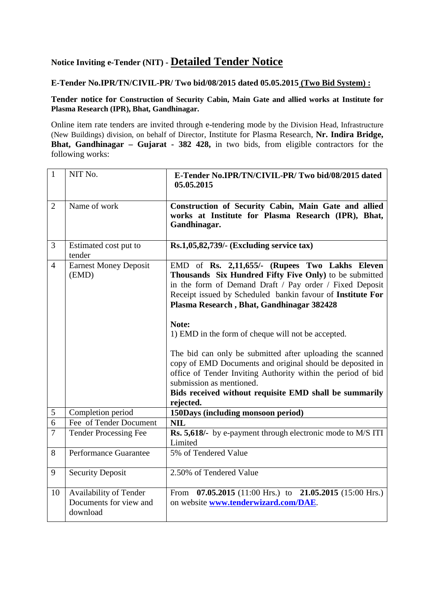# **Notice Inviting e-Tender (NIT) - Detailed Tender Notice**

### **E-Tender No.IPR/TN/CIVIL-PR/ Two bid/08/2015 dated 05.05.2015 (Two Bid System) :**

#### **Tender notice for Construction of Security Cabin, Main Gate and allied works at Institute for Plasma Research (IPR), Bhat, Gandhinagar.**

Online item rate tenders are invited through e-tendering mode by the Division Head, Infrastructure (New Buildings) division, on behalf of Director, Institute for Plasma Research, **Nr. Indira Bridge, Bhat, Gandhinagar – Gujarat - 382 428,** in two bids, from eligible contractors for the following works:

| $\mathbf{1}$   | NIT No.                                                      | E-Tender No.IPR/TN/CIVIL-PR/Two bid/08/2015 dated<br>05.05.2015                                                                                                                                                                                                                                                                                                                                                                                                                                                                                                                                                                            |
|----------------|--------------------------------------------------------------|--------------------------------------------------------------------------------------------------------------------------------------------------------------------------------------------------------------------------------------------------------------------------------------------------------------------------------------------------------------------------------------------------------------------------------------------------------------------------------------------------------------------------------------------------------------------------------------------------------------------------------------------|
| $\overline{2}$ | Name of work                                                 | Construction of Security Cabin, Main Gate and allied<br>works at Institute for Plasma Research (IPR), Bhat,<br>Gandhinagar.                                                                                                                                                                                                                                                                                                                                                                                                                                                                                                                |
| 3              | Estimated cost put to<br>tender                              | Rs.1,05,82,739/- (Excluding service tax)                                                                                                                                                                                                                                                                                                                                                                                                                                                                                                                                                                                                   |
| $\overline{4}$ | <b>Earnest Money Deposit</b><br>(EMD)                        | EMD of Rs. 2,11,655/- (Rupees Two Lakhs Eleven<br>Thousands Six Hundred Fifty Five Only) to be submitted<br>in the form of Demand Draft / Pay order / Fixed Deposit<br>Receipt issued by Scheduled bankin favour of Institute For<br>Plasma Research, Bhat, Gandhinagar 382428<br>Note:<br>1) EMD in the form of cheque will not be accepted.<br>The bid can only be submitted after uploading the scanned<br>copy of EMD Documents and original should be deposited in<br>office of Tender Inviting Authority within the period of bid<br>submission as mentioned.<br>Bids received without requisite EMD shall be summarily<br>rejected. |
| 5              | Completion period                                            | 150Days (including monsoon period)                                                                                                                                                                                                                                                                                                                                                                                                                                                                                                                                                                                                         |
| 6              | Fee of Tender Document                                       | <b>NIL</b>                                                                                                                                                                                                                                                                                                                                                                                                                                                                                                                                                                                                                                 |
| $\tau$         | <b>Tender Processing Fee</b>                                 | Rs. 5,618/- by e-payment through electronic mode to M/S ITI<br>Limited                                                                                                                                                                                                                                                                                                                                                                                                                                                                                                                                                                     |
| 8              | Performance Guarantee                                        | 5% of Tendered Value                                                                                                                                                                                                                                                                                                                                                                                                                                                                                                                                                                                                                       |
| 9              | <b>Security Deposit</b>                                      | 2.50% of Tendered Value                                                                                                                                                                                                                                                                                                                                                                                                                                                                                                                                                                                                                    |
| 10             | Availability of Tender<br>Documents for view and<br>download | From $07.05.2015$ (11:00 Hrs.) to 21.05.2015 (15:00 Hrs.)<br>on website www.tenderwizard.com/DAE.                                                                                                                                                                                                                                                                                                                                                                                                                                                                                                                                          |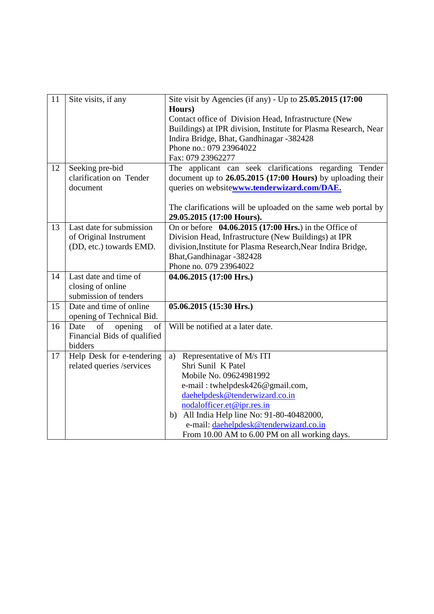| 11 | Site visits, if any                        | Site visit by Agencies (if any) - Up to $25.05.2015$ (17:00                                |
|----|--------------------------------------------|--------------------------------------------------------------------------------------------|
|    |                                            | Hours)                                                                                     |
|    |                                            | Contact office of Division Head, Infrastructure (New                                       |
|    |                                            | Buildings) at IPR division, Institute for Plasma Research, Near                            |
|    |                                            | Indira Bridge, Bhat, Gandhinagar -382428                                                   |
|    |                                            | Phone no.: 079 23964022                                                                    |
|    |                                            | Fax: 079 23962277                                                                          |
| 12 | Seeking pre-bid                            | The applicant can seek clarifications regarding Tender                                     |
|    | clarification on Tender                    | document up to $26.05,2015$ (17:00 Hours) by uploading their                               |
|    | document                                   | queries on websitewww.tenderwizard.com/DAE.                                                |
|    |                                            | The clarifications will be uploaded on the same web portal by                              |
|    |                                            | 29.05.2015 (17:00 Hours).                                                                  |
| 13 | Last date for submission                   | On or before 04.06.2015 (17:00 Hrs.) in the Office of                                      |
|    | of Original Instrument                     | Division Head, Infrastructure (New Buildings) at IPR                                       |
|    | (DD, etc.) towards EMD.                    |                                                                                            |
|    |                                            | division, Institute for Plasma Research, Near Indira Bridge,<br>Bhat, Gandhinagar - 382428 |
|    |                                            | Phone no. 079 23964022                                                                     |
| 14 | Last date and time of                      |                                                                                            |
|    |                                            | 04.06.2015 (17:00 Hrs.)                                                                    |
|    | closing of online<br>submission of tenders |                                                                                            |
| 15 | Date and time of online                    |                                                                                            |
|    |                                            | $05.06.2015(15:30$ Hrs.)                                                                   |
|    | opening of Technical Bid.                  | Will be notified at a later date.                                                          |
| 16 | Date<br>of<br>opening<br>of                |                                                                                            |
|    | Financial Bids of qualified                |                                                                                            |
|    | bidders                                    |                                                                                            |
| 17 | Help Desk for e-tendering                  | Representative of M/s ITI<br>a)                                                            |
|    | related queries /services                  | Shri Sunil K Patel                                                                         |
|    |                                            | Mobile No. 09624981992                                                                     |
|    |                                            | e-mail: twhelpdesk426@gmail.com,                                                           |
|    |                                            | daehelpdesk@tenderwizard.co.in                                                             |
|    |                                            | nodalofficer.et@ipr.res.in                                                                 |
|    |                                            | b) All India Help line No: 91-80-40482000,                                                 |
|    |                                            | e-mail: daehelpdesk@tenderwizard.co.in                                                     |
|    |                                            | From 10.00 AM to 6.00 PM on all working days.                                              |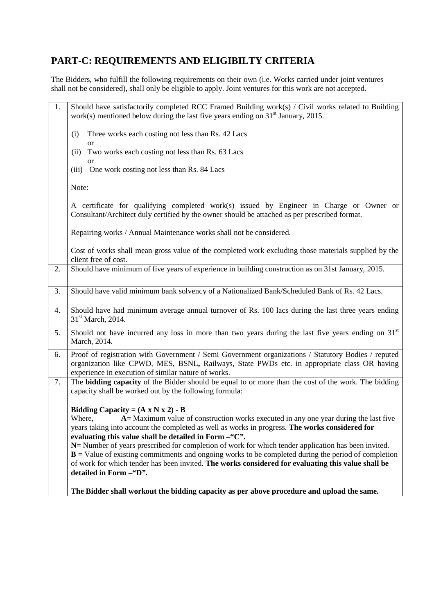## **PART-C: REQUIREMENTS AND ELIGIBILTY CRITERIA**

The Bidders, who fulfill the following requirements on their own (i.e. Works carried under joint ventures shall not be considered), shall only be eligible to apply. Joint ventures for this work are not accepted.

| 1. | Should have satisfactorily completed RCC Framed Building work( $s$ ) / Civil works related to Building<br>work(s) mentioned below during the last five years ending on $31st$ January, 2015.                                                             |  |  |
|----|----------------------------------------------------------------------------------------------------------------------------------------------------------------------------------------------------------------------------------------------------------|--|--|
|    | Three works each costing not less than Rs. 42 Lacs<br>(i)<br><b>or</b>                                                                                                                                                                                   |  |  |
|    | Two works each costing not less than Rs. 63 Lacs<br>(ii)                                                                                                                                                                                                 |  |  |
|    | <b>or</b><br>(iii) One work costing not less than Rs. 84 Lacs                                                                                                                                                                                            |  |  |
|    | Note:                                                                                                                                                                                                                                                    |  |  |
|    | A certificate for qualifying completed work(s) issued by Engineer in Charge or Owner or<br>Consultant/Architect duly certified by the owner should be attached as per prescribed format.                                                                 |  |  |
|    | Repairing works / Annual Maintenance works shall not be considered.                                                                                                                                                                                      |  |  |
|    | Cost of works shall mean gross value of the completed work excluding those materials supplied by the<br>client free of cost.                                                                                                                             |  |  |
| 2. | Should have minimum of five years of experience in building construction as on 31st January, 2015.                                                                                                                                                       |  |  |
| 3. | Should have valid minimum bank solvency of a Nationalized Bank/Scheduled Bank of Rs. 42 Lacs.                                                                                                                                                            |  |  |
| 4. | Should have had minimum average annual turnover of Rs. 100 lacs during the last three years ending<br>31 <sup>st</sup> March, 2014.                                                                                                                      |  |  |
| 5. | Should not have incurred any loss in more than two years during the last five years ending on 31 <sup>st</sup><br>March, 2014.                                                                                                                           |  |  |
| 6. | Proof of registration with Government / Semi Government organizations / Statutory Bodies / reputed<br>organization like CPWD, MES, BSNL, Railways, State PWDs etc. in appropriate class OR having<br>experience in execution of similar nature of works. |  |  |
| 7. | The <b>bidding capacity</b> of the Bidder should be equal to or more than the cost of the work. The bidding<br>capacity shall be worked out by the following formula:                                                                                    |  |  |
|    | Bidding Capacity = $(A \times N \times 2) - B$                                                                                                                                                                                                           |  |  |
|    | A = Maximum value of construction works executed in any one year during the last five<br>Where,<br>years taking into account the completed as well as works in progress. The works considered for                                                        |  |  |
|    | evaluating this value shall be detailed in Form -"C".                                                                                                                                                                                                    |  |  |
|    | N = Number of years prescribed for completion of work for which tender application has been invited.                                                                                                                                                     |  |  |
|    | $B = Value of existing commitments and ongoing works to be completed during the period of completion$<br>of work for which tender has been invited. The works considered for evaluating this value shall be                                              |  |  |
|    | detailed in Form -"D".                                                                                                                                                                                                                                   |  |  |
|    | The Bidder shall workout the bidding capacity as per above procedure and upload the same.                                                                                                                                                                |  |  |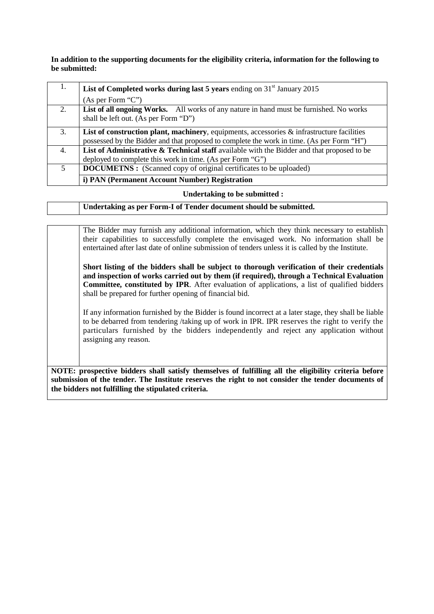**In addition to the supporting documents for the eligibility criteria, information for the following to be submitted:** 

| 1. | List of Completed works during last 5 years ending on $31st$ January 2015                                                                                                                  |
|----|--------------------------------------------------------------------------------------------------------------------------------------------------------------------------------------------|
|    | (As per Form "C")                                                                                                                                                                          |
| 2. | List of all ongoing Works. All works of any nature in hand must be furnished. No works<br>shall be left out. (As per Form "D")                                                             |
| 3. | List of construction plant, machinery, equipments, accessories $\&$ infrastructure facilities<br>possessed by the Bidder and that proposed to complete the work in time. (As per Form "H") |
| 4. | List of Administrative $\&$ Technical staff available with the Bidder and that proposed to be<br>deployed to complete this work in time. (As per Form "G")                                 |
| 5  | <b>DOCUMETNS:</b> (Scanned copy of original certificates to be uploaded)                                                                                                                   |
|    | i) PAN (Permanent Account Number) Registration                                                                                                                                             |

#### **Undertaking to be submitted :**

**Undertaking as per Form-I of Tender document should be submitted.**

The Bidder may furnish any additional information, which they think necessary to establish their capabilities to successfully complete the envisaged work. No information shall be entertained after last date of online submission of tenders unless it is called by the Institute. **Short listing of the bidders shall be subject to thorough verification of their credentials and inspection of works carried out by them (if required), through a Technical Evaluation Committee, constituted by IPR**. After evaluation of applications, a list of qualified bidders shall be prepared for further opening of financial bid.

If any information furnished by the Bidder is found incorrect at a later stage, they shall be liable to be debarred from tendering /taking up of work in IPR. IPR reserves the right to verify the particulars furnished by the bidders independently and reject any application without assigning any reason.

**NOTE: prospective bidders shall satisfy themselves of fulfilling all the eligibility criteria before submission of the tender. The Institute reserves the right to not consider the tender documents of the bidders not fulfilling the stipulated criteria.**